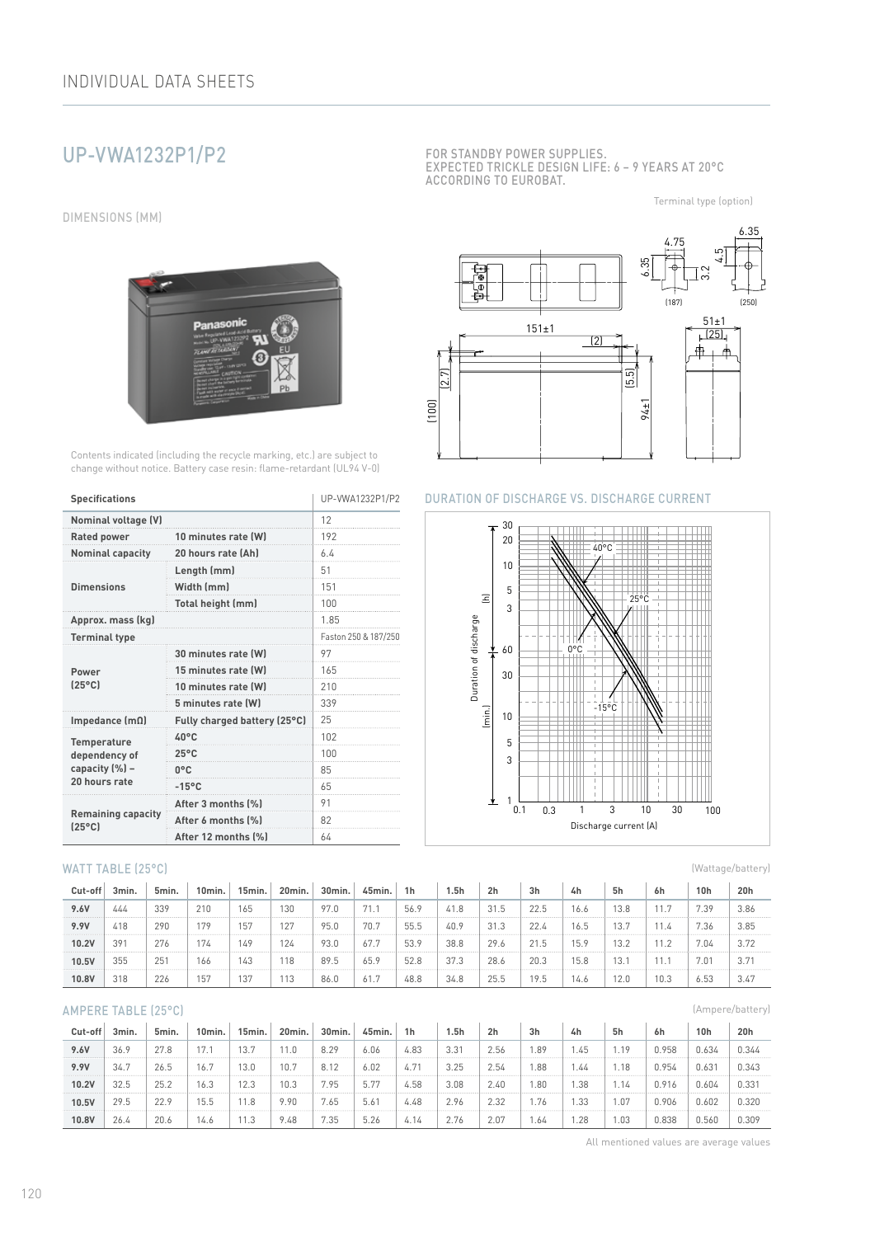# UP-VWA1232P1/P2

DIMENSIONS (MM)



Contents indicated (including the recycle marking, etc.) are subject to change without notice. Battery case resin: flame-retardant (UL94 V-0)

| <b>Specifications</b>                        | UP-VWA1232P1/P2              |     |  |  |  |
|----------------------------------------------|------------------------------|-----|--|--|--|
| <b>Nominal voltage (V)</b>                   |                              | 12  |  |  |  |
| <b>Rated power</b>                           | 10 minutes rate (W)          | 192 |  |  |  |
| Nominal capacity                             | 20 hours rate (Ah)           | 64  |  |  |  |
|                                              | Length (mm)                  | 51  |  |  |  |
| <b>Dimensions</b>                            | Width (mm)                   | 151 |  |  |  |
|                                              | Total height (mm)            | 100 |  |  |  |
| Approx. mass (kg)                            | 1.85                         |     |  |  |  |
| <b>Terminal type</b>                         | Faston 250 & 187/250         |     |  |  |  |
|                                              | 30 minutes rate (W)          | 97  |  |  |  |
| Power                                        | 15 minutes rate (W)          | 165 |  |  |  |
| $[25^{\circ}$ C                              | 10 minutes rate (W)          | 210 |  |  |  |
|                                              | 5 minutes rate (W)           | 339 |  |  |  |
| Impedance $(m\Omega)$                        | Fully charged battery (25°C) | 25  |  |  |  |
| <b>Temperature</b>                           | $40^{\circ}$ C               | 102 |  |  |  |
| dependency of                                | $25^{\circ}$ C               | 100 |  |  |  |
| capacity (%) -                               | $0^{\circ}$ C                | 85  |  |  |  |
| 20 hours rate                                | $-15^{\circ}$ C              | 65  |  |  |  |
|                                              | After 3 months (%)           | 91  |  |  |  |
| <b>Remaining capacity</b><br>$(25^{\circ}C)$ | After 6 months [%]           | 82  |  |  |  |
|                                              | After 12 months [%]          | 64  |  |  |  |

#### WATT TABLE (25°C)

| Cut-off | 3min. | 5min. | $10$ min. | 15min. | 20min. | 30min. | 45min.             | 1h   | 1.5h | 2 <sub>h</sub> | 3h   | 4h       | 5h   | 6h   | 10 <sub>h</sub> | 20h  |
|---------|-------|-------|-----------|--------|--------|--------|--------------------|------|------|----------------|------|----------|------|------|-----------------|------|
| 9.6V    | 444   | 339   | 210       | 165    | 130    | 97.0   | 71.                | 56.9 | 41.8 | 31.5           | 22.5 | 16.6     | 3.8  |      | 7.39            | 3.86 |
| 9.9V    | 418   | 290   | 79        | 157    | 127    | 95.0   | 70.7               | 55.5 | 40.9 | 31.3           | 22.4 | 16.5     |      |      | 7.36            | 3.85 |
| 10.2V   | 391   | 276   | 174       | 149    | 124    | 93.0   | 67.7               | 53.9 | 38.8 | 29.6           | 21.5 | 150<br>. | 13.2 |      | 7.04            | 3.72 |
| 10.5V   | 355   | 251   | 166       | 143    | 118    | 89.5   | 65.9               | 52.8 | 37.3 | 28.6           | 20.3 | 15.8     |      |      | 7.01            | 3.7  |
| 10.8V   | 318   | 226   | 157       | 137    | 113    | 86.0   | $\sqrt{4}$<br>61.7 | 48.8 | 34.8 | 25.5           | 19.5 | 14.6     | 2.0  | 10.3 | 6.53            | 3.47 |

#### AMPERE TABLE (25°C)

| Cut-off | 3min. | 5min. | 10 <sub>min</sub> | 15min. | 20min. | 30min. | 45min. | 1h   | i.5h | 2 <sub>h</sub> | 3 <sub>h</sub> | 4h   | 5h   | 6h    | 10 <sub>h</sub> | 20h   |
|---------|-------|-------|-------------------|--------|--------|--------|--------|------|------|----------------|----------------|------|------|-------|-----------------|-------|
| 9.6V    | 36.9  | 27.8  |                   | 13.7   | 11.0   | 8.29   | 6.06   | 4.83 | 3.31 | 2.56           | .89            | . 45 |      | 0.958 | 0.634           | 0.344 |
| 9.9V    | 34.7  | 26.5  | 16.               | 13.0   | 10.7   | 8.12   | 6.02   | 4.7' | 3.25 | 2.54           | .88            | . 44 |      | J.954 | 0.631           | 0.343 |
| 10.2V   | 32.5  | 25.2  | 16.3              | 12.3   | 10.3   | 7.95   | 5.77   | 4.58 | 3.08 | 2.40           | .80            | .38  |      | J.916 | 0.604           | 0.331 |
| 10.5V   | 29.5  | 22.9  | 15.5              | 11.8   | 9.90   | 7.65   | 5.61   | 4.48 | 2.96 | 2.32           | .76            | . 33 |      | J.906 | 0.602           | 0.320 |
| 10.8V   | 26.4  | 20.6  | 14.6              | 11.3   | 9.48   | 7.35   | 5.26   | 4.14 | 2.76 | 2.07           | 1.64           | .28  | 1.03 | 0.838 | 0.560           | 0.309 |

FOR STANDBY POWER SUPPLIES. EXPECTED TRICKLE DESIGN LIFE: 6 – 9 YEARS AT 20°C ACCORDING TO EUROBAT.

Terminal type (option)



## DURATION OF DISCHARGE VS. DISCHARGE CURRENT



(Wattage/battery)

(Ampere/battery)

All mentioned values are average values